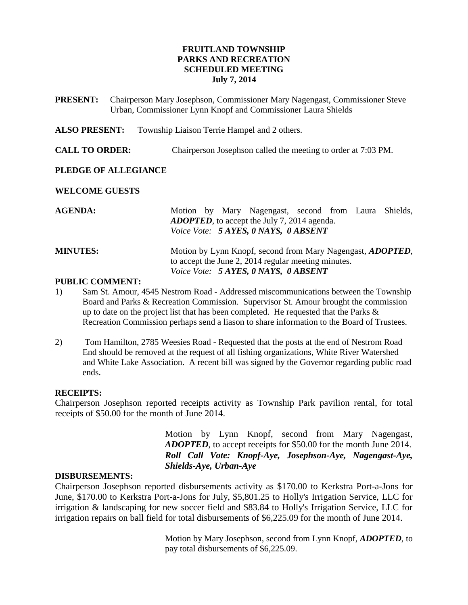# **FRUITLAND TOWNSHIP PARKS AND RECREATION SCHEDULED MEETING July 7, 2014**

- **PRESENT:** Chairperson Mary Josephson, Commissioner Mary Nagengast, Commissioner Steve Urban, Commissioner Lynn Knopf and Commissioner Laura Shields
- **ALSO PRESENT:** Township Liaison Terrie Hampel and 2 others.
- **CALL TO ORDER:** Chairperson Josephson called the meeting to order at 7:03 PM.

### **PLEDGE OF ALLEGIANCE**

#### **WELCOME GUESTS**

| <b>AGENDA:</b>  | Motion by Mary Nagengast, second from Laura Shields,               |
|-----------------|--------------------------------------------------------------------|
|                 | <b>ADOPTED</b> , to accept the July 7, 2014 agenda.                |
|                 | Voice Vote: 5 AYES, 0 NAYS, 0 ABSENT                               |
| <b>MINUTES:</b> | Motion by Lynn Knopf, second from Mary Nagengast, <i>ADOPTED</i> , |
|                 | to accept the June 2, 2014 regular meeting minutes.                |
|                 | Voice Vote: 5 AYES, 0 NAYS, 0 ABSENT                               |

# **PUBLIC COMMENT:**

- 1) Sam St. Amour, 4545 Nestrom Road Addressed miscommunications between the Township Board and Parks & Recreation Commission. Supervisor St. Amour brought the commission up to date on the project list that has been completed. He requested that the Parks  $\&$ Recreation Commission perhaps send a liason to share information to the Board of Trustees.
- 2) Tom Hamilton, 2785 Weesies Road Requested that the posts at the end of Nestrom Road End should be removed at the request of all fishing organizations, White River Watershed and White Lake Association. A recent bill was signed by the Governor regarding public road ends.

#### **RECEIPTS:**

Chairperson Josephson reported receipts activity as Township Park pavilion rental, for total receipts of \$50.00 for the month of June 2014.

> Motion by Lynn Knopf, second from Mary Nagengast, *ADOPTED*, to accept receipts for \$50.00 for the month June 2014. *Roll Call Vote: Knopf-Aye, Josephson-Aye, Nagengast-Aye, Shields-Aye, Urban-Aye*

#### **DISBURSEMENTS:**

Chairperson Josephson reported disbursements activity as \$170.00 to Kerkstra Port-a-Jons for June, \$170.00 to Kerkstra Port-a-Jons for July, \$5,801.25 to Holly's Irrigation Service, LLC for irrigation & landscaping for new soccer field and \$83.84 to Holly's Irrigation Service, LLC for irrigation repairs on ball field for total disbursements of \$6,225.09 for the month of June 2014.

> Motion by Mary Josephson, second from Lynn Knopf, *ADOPTED*, to pay total disbursements of \$6,225.09.